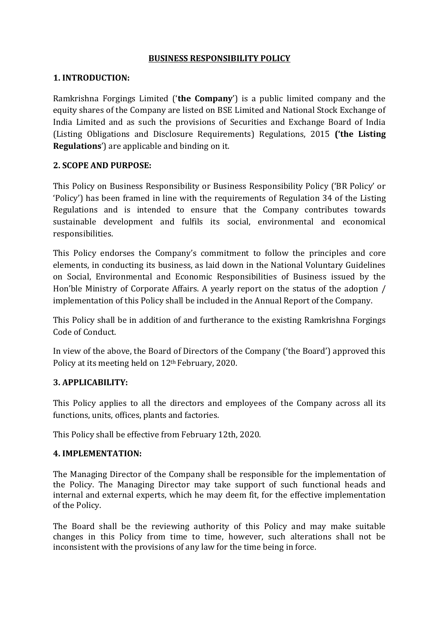# **BUSINESS RESPONSIBILITY POLICY**

## **1. INTRODUCTION:**

Ramkrishna Forgings Limited ('**the Company**') is a public limited company and the equity shares of the Company are listed on BSE Limited and National Stock Exchange of India Limited and as such the provisions of Securities and Exchange Board of India (Listing Obligations and Disclosure Requirements) Regulations, 2015 **('the Listing Regulations**') are applicable and binding on it.

## **2. SCOPE AND PURPOSE:**

This Policy on Business Responsibility or Business Responsibility Policy ('BR Policy' or 'Policy') has been framed in line with the requirements of Regulation 34 of the Listing Regulations and is intended to ensure that the Company contributes towards sustainable development and fulfils its social, environmental and economical responsibilities.

This Policy endorses the Company's commitment to follow the principles and core elements, in conducting its business, as laid down in the National Voluntary Guidelines on Social, Environmental and Economic Responsibilities of Business issued by the Hon'ble Ministry of Corporate Affairs. A yearly report on the status of the adoption / implementation of this Policy shall be included in the Annual Report of the Company.

This Policy shall be in addition of and furtherance to the existing Ramkrishna Forgings Code of Conduct.

In view of the above, the Board of Directors of the Company ('the Board') approved this Policy at its meeting held on 12th February, 2020.

### **3. APPLICABILITY:**

This Policy applies to all the directors and employees of the Company across all its functions, units, offices, plants and factories.

This Policy shall be effective from February 12th, 2020.

### **4. IMPLEMENTATION:**

The Managing Director of the Company shall be responsible for the implementation of the Policy. The Managing Director may take support of such functional heads and internal and external experts, which he may deem fit, for the effective implementation of the Policy.

The Board shall be the reviewing authority of this Policy and may make suitable changes in this Policy from time to time, however, such alterations shall not be inconsistent with the provisions of any law for the time being in force.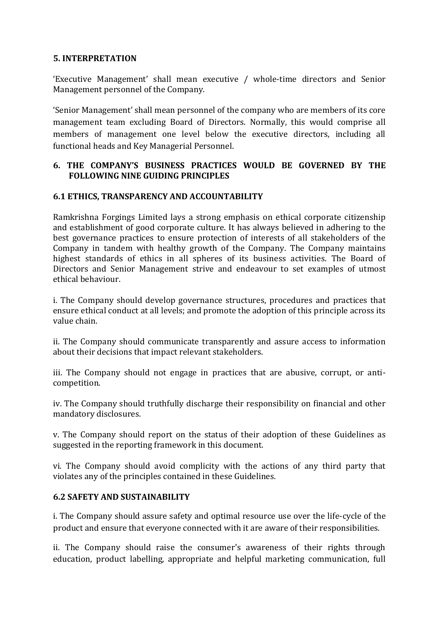### **5. INTERPRETATION**

'Executive Management' shall mean executive / whole-time directors and Senior Management personnel of the Company.

'Senior Management' shall mean personnel of the company who are members of its core management team excluding Board of Directors. Normally, this would comprise all members of management one level below the executive directors, including all functional heads and Key Managerial Personnel.

# **6. THE COMPANY'S BUSINESS PRACTICES WOULD BE GOVERNED BY THE FOLLOWING NINE GUIDING PRINCIPLES**

## **6.1 ETHICS, TRANSPARENCY AND ACCOUNTABILITY**

Ramkrishna Forgings Limited lays a strong emphasis on ethical corporate citizenship and establishment of good corporate culture. It has always believed in adhering to the best governance practices to ensure protection of interests of all stakeholders of the Company in tandem with healthy growth of the Company. The Company maintains highest standards of ethics in all spheres of its business activities. The Board of Directors and Senior Management strive and endeavour to set examples of utmost ethical behaviour.

i. The Company should develop governance structures, procedures and practices that ensure ethical conduct at all levels; and promote the adoption of this principle across its value chain.

ii. The Company should communicate transparently and assure access to information about their decisions that impact relevant stakeholders.

iii. The Company should not engage in practices that are abusive, corrupt, or anticompetition.

iv. The Company should truthfully discharge their responsibility on financial and other mandatory disclosures.

v. The Company should report on the status of their adoption of these Guidelines as suggested in the reporting framework in this document.

vi. The Company should avoid complicity with the actions of any third party that violates any of the principles contained in these Guidelines.

### **6.2 SAFETY AND SUSTAINABILITY**

i. The Company should assure safety and optimal resource use over the life-cycle of the product and ensure that everyone connected with it are aware of their responsibilities.

ii. The Company should raise the consumer's awareness of their rights through education, product labelling, appropriate and helpful marketing communication, full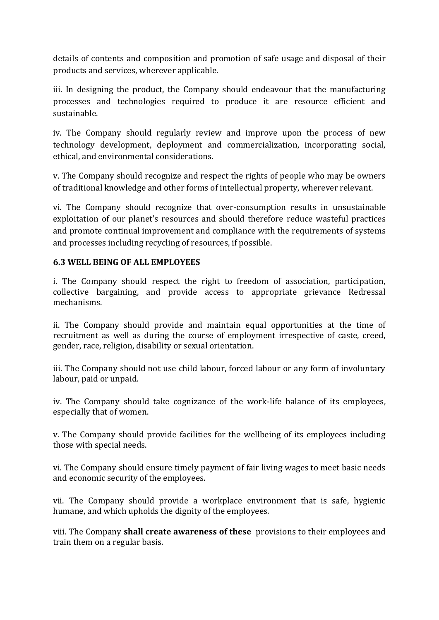details of contents and composition and promotion of safe usage and disposal of their products and services, wherever applicable.

iii. In designing the product, the Company should endeavour that the manufacturing processes and technologies required to produce it are resource efficient and sustainable.

iv. The Company should regularly review and improve upon the process of new technology development, deployment and commercialization, incorporating social, ethical, and environmental considerations.

v. The Company should recognize and respect the rights of people who may be owners of traditional knowledge and other forms of intellectual property, wherever relevant.

vi. The Company should recognize that over-consumption results in unsustainable exploitation of our planet's resources and should therefore reduce wasteful practices and promote continual improvement and compliance with the requirements of systems and processes including recycling of resources, if possible.

### **6.3 WELL BEING OF ALL EMPLOYEES**

i. The Company should respect the right to freedom of association, participation, collective bargaining, and provide access to appropriate grievance Redressal mechanisms.

ii. The Company should provide and maintain equal opportunities at the time of recruitment as well as during the course of employment irrespective of caste, creed, gender, race, religion, disability or sexual orientation.

iii. The Company should not use child labour, forced labour or any form of involuntary labour, paid or unpaid.

iv. The Company should take cognizance of the work-life balance of its employees, especially that of women.

v. The Company should provide facilities for the wellbeing of its employees including those with special needs.

vi. The Company should ensure timely payment of fair living wages to meet basic needs and economic security of the employees.

vii. The Company should provide a workplace environment that is safe, hygienic humane, and which upholds the dignity of the employees.

viii. The Company **shall create awareness of these** provisions to their employees and train them on a regular basis.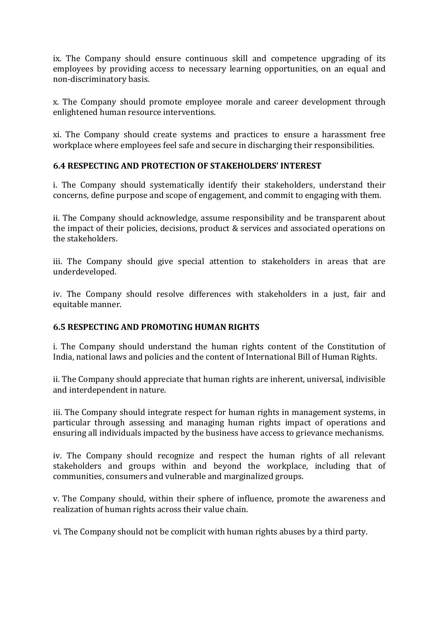ix. The Company should ensure continuous skill and competence upgrading of its employees by providing access to necessary learning opportunities, on an equal and non-discriminatory basis.

x. The Company should promote employee morale and career development through enlightened human resource interventions.

xi. The Company should create systems and practices to ensure a harassment free workplace where employees feel safe and secure in discharging their responsibilities.

### **6.4 RESPECTING AND PROTECTION OF STAKEHOLDERS' INTEREST**

i. The Company should systematically identify their stakeholders, understand their concerns, define purpose and scope of engagement, and commit to engaging with them.

ii. The Company should acknowledge, assume responsibility and be transparent about the impact of their policies, decisions, product & services and associated operations on the stakeholders.

iii. The Company should give special attention to stakeholders in areas that are underdeveloped.

iv. The Company should resolve differences with stakeholders in a just, fair and equitable manner.

### **6.5 RESPECTING AND PROMOTING HUMAN RIGHTS**

i. The Company should understand the human rights content of the Constitution of India, national laws and policies and the content of International Bill of Human Rights.

ii. The Company should appreciate that human rights are inherent, universal, indivisible and interdependent in nature.

iii. The Company should integrate respect for human rights in management systems, in particular through assessing and managing human rights impact of operations and ensuring all individuals impacted by the business have access to grievance mechanisms.

iv. The Company should recognize and respect the human rights of all relevant stakeholders and groups within and beyond the workplace, including that of communities, consumers and vulnerable and marginalized groups.

v. The Company should, within their sphere of influence, promote the awareness and realization of human rights across their value chain.

vi. The Company should not be complicit with human rights abuses by a third party.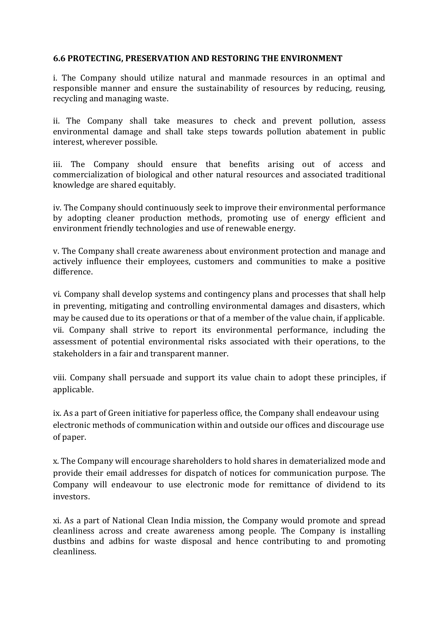#### **6.6 PROTECTING, PRESERVATION AND RESTORING THE ENVIRONMENT**

i. The Company should utilize natural and manmade resources in an optimal and responsible manner and ensure the sustainability of resources by reducing, reusing, recycling and managing waste.

ii. The Company shall take measures to check and prevent pollution, assess environmental damage and shall take steps towards pollution abatement in public interest, wherever possible.

iii. The Company should ensure that benefits arising out of access and commercialization of biological and other natural resources and associated traditional knowledge are shared equitably.

iv. The Company should continuously seek to improve their environmental performance by adopting cleaner production methods, promoting use of energy efficient and environment friendly technologies and use of renewable energy.

v. The Company shall create awareness about environment protection and manage and actively influence their employees, customers and communities to make a positive difference.

vi. Company shall develop systems and contingency plans and processes that shall help in preventing, mitigating and controlling environmental damages and disasters, which may be caused due to its operations or that of a member of the value chain, if applicable. vii. Company shall strive to report its environmental performance, including the assessment of potential environmental risks associated with their operations, to the stakeholders in a fair and transparent manner.

viii. Company shall persuade and support its value chain to adopt these principles, if applicable.

ix. As a part of Green initiative for paperless office, the Company shall endeavour using electronic methods of communication within and outside our offices and discourage use of paper.

x. The Company will encourage shareholders to hold shares in dematerialized mode and provide their email addresses for dispatch of notices for communication purpose. The Company will endeavour to use electronic mode for remittance of dividend to its investors.

xi. As a part of National Clean India mission, the Company would promote and spread cleanliness across and create awareness among people. The Company is installing dustbins and adbins for waste disposal and hence contributing to and promoting cleanliness.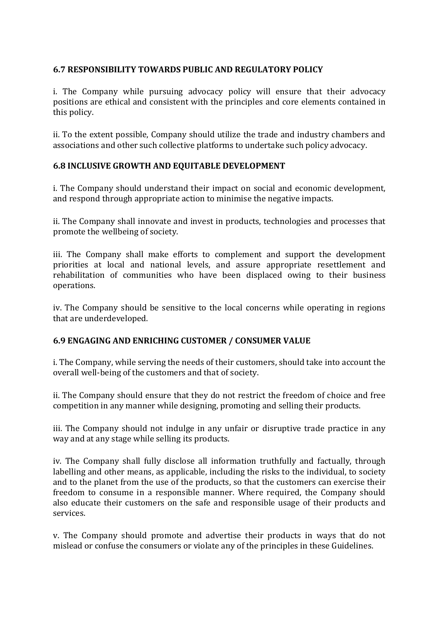## **6.7 RESPONSIBILITY TOWARDS PUBLIC AND REGULATORY POLICY**

i. The Company while pursuing advocacy policy will ensure that their advocacy positions are ethical and consistent with the principles and core elements contained in this policy.

ii. To the extent possible, Company should utilize the trade and industry chambers and associations and other such collective platforms to undertake such policy advocacy.

## **6.8 INCLUSIVE GROWTH AND EQUITABLE DEVELOPMENT**

i. The Company should understand their impact on social and economic development, and respond through appropriate action to minimise the negative impacts.

ii. The Company shall innovate and invest in products, technologies and processes that promote the wellbeing of society.

iii. The Company shall make efforts to complement and support the development priorities at local and national levels, and assure appropriate resettlement and rehabilitation of communities who have been displaced owing to their business operations.

iv. The Company should be sensitive to the local concerns while operating in regions that are underdeveloped.

### **6.9 ENGAGING AND ENRICHING CUSTOMER / CONSUMER VALUE**

i. The Company, while serving the needs of their customers, should take into account the overall well-being of the customers and that of society.

ii. The Company should ensure that they do not restrict the freedom of choice and free competition in any manner while designing, promoting and selling their products.

iii. The Company should not indulge in any unfair or disruptive trade practice in any way and at any stage while selling its products.

iv. The Company shall fully disclose all information truthfully and factually, through labelling and other means, as applicable, including the risks to the individual, to society and to the planet from the use of the products, so that the customers can exercise their freedom to consume in a responsible manner. Where required, the Company should also educate their customers on the safe and responsible usage of their products and services.

v. The Company should promote and advertise their products in ways that do not mislead or confuse the consumers or violate any of the principles in these Guidelines.